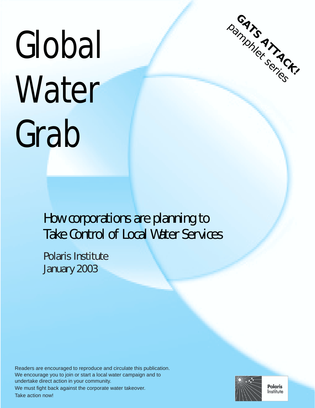# Global **Water** Grab



## **How corporations are planning to Take Control of Local Water Services**

**Polaris Institute January 2003**

Readers are encouraged to reproduce and circulate this publication. We encourage you to join or start a local water campaign and to undertake direct action in your community. We must fight back against the corporate water takeover. Take action now!



**Polaris** Institute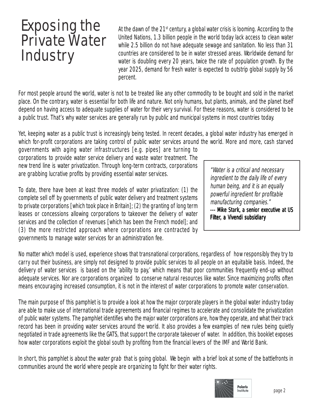## Exposing the Private Water **Industry**

At the dawn of the  $21<sup>st</sup>$  century, a global water crisis is looming. According to the United Nations, 1.3 billion people in the world today lack access to clean water while 2.5 billion do not have adequate sewage and sanitation. No less than 31 countries are considered to be in water stressed areas. Worldwide demand for water is doubling every 20 years, twice the rate of population growth. By the year 2025, demand for fresh water is expected to outstrip global supply by 56 percent.

For most people around the world, water is not to be treated like any other commodity to be bought and sold in the market place. On the contrary, water is essential for both life and nature. Not only humans, but plants, animals, and the planet itself depend on having access to adequate supplies of water for their very survival. For these reasons, water is considered to be a public trust. That's why water services are generally run by public and municipal systems in most countries today.

Yet, keeping water as a public trust is increasingly being tested. In recent decades, a global water industry has emerged in which for-profit corporations are taking control of public water services around the world. More and more, cash starved

governments with aging water infrastructures [e.g. pipes] are turning to corporations to provide water service delivery and waste water treatment. The new trend line is water privatization. Through long-term contracts, corporations are grabbing lucrative profits by providing essential water services.

To date, there have been at least three models of water privatization: (1) the complete sell off by governments of public water delivery and treatment systems to private corporations [which took place in Britain]; (2) the granting of long term leases or concessions allowing corporations to takeover the delivery of water services and the collection of revenues [which has been the French model]; and (3) the more restricted approach where corporations are contracted by governments to manage water services for an administration fee.

"Water is a critical and necessary ingredient to the daily life of every human being, and it is an equally powerful ingredient for profitable manufacturing companies." --- Mike Stark, a senior executive at US Filter, a Vivendi subsidiary

No matter which model is used, experience shows that transnational corporations, regardless of how responsibly they try to carry out their business, are simply not designed to provide public services to all people on an equitable basis. Indeed, the delivery of water services is based on the 'ability to pay,' which means that poor communities frequently end-up without adequate services. Nor are corporations organized to conserve natural resources like water. Since maximizing profits often means encouraging increased consumption, it is not in the interest of water corporations to promote water conservation.

The main purpose of this pamphlet is to provide a look at how the major corporate players in the global water industry today are able to make use of international trade agreements and financial regimes to accelerate and consolidate the privatization of public water systems. The pamphlet identifies who the major water corporations are, how they operate, and what their track record has been in providing water services around the world. It also provides a few examples of new rules being quietly negotiated in trade agreements like the GATS, that support the corporate takeover of water. In addition, this booklet exposes how water corporations exploit the global south by profiting from the financial levers of the IMF and World Bank.

In short, this pamphlet is about the *water grab* that is going global. We begin with a brief look at some of the battlefronts in communities around the world where people are organizing to fight for their water rights.

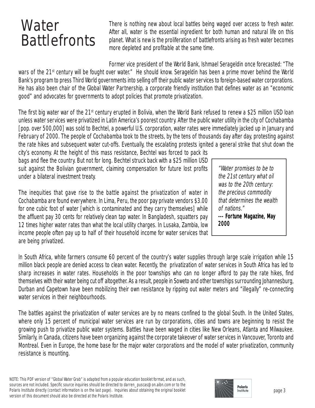## Water **Battlefronts**

There is nothing new about local battles being waged over access to fresh water. After all, water is the essential ingredient for both human and natural life on this planet. What is new is the proliferation of battlefronts arising as fresh water becomes more depleted and profitable at the same time.

Former vice president of the World Bank, Ishmael Serageldin once forecasted: "The wars of the 21<sup>st</sup> century will be fought over water." He should know. Serageldin has been a prime mover behind the World Bank's program to press Third World governments into selling off their public water services to foreign-based water corporations. He has also been chair of the Global Water Partnership, a corporate friendly institution that defines water as an "economic good" and advocates for governments to adopt policies that promote privatization.

The first big water war of the 21<sup>st</sup> century erupted in Bolivia, when the World Bank refused to renew a \$25 million USD loan unless water services were privatized in Latin America's poorest country. After the public water utility in the city of Cochabamba [pop. over 500,000] was sold to Bechtel, a powerful U.S. corporation, water rates were immediately jacked up in January and February of 2000. The people of Cochabamba took to the streets, by the tens of thousands day after day, protesting against the rate hikes and subsequent water cut-offs. Eventually, the escalating protests ignited a general strike that shut down the

city's economy. At the height of this mass resistance, Bechtel was forced to pack its bags and flee the country. But not for long. Bechtel struck back with a \$25 million USD suit against the Bolivian government, claiming compensation for future lost profits under a bilateral investment treaty.

The inequities that gave rise to the battle against the privatization of water in Cochabamba are found everywhere. In Lima, Peru, the poor pay private vendors \$3.00 for one cubic foot of water [which is contaminated and they carry themselves] while the affluent pay 30 cents for relatively clean tap water. In Bangladesh, squatters pay 12 times higher water rates than what the local utility charges. In Lusaka, Zambia, low income people often pay up to half of their household income for water services that are being privatized.

"Water promises to be to the 21st century what oil was to the 20th century: the precious commodity that determines the wealth of nations." --- Fortune Magazine, May 2000

In South Africa, white farmers consume 60 percent of the country's water supplies through large scale irrigation while 15 million black people are denied access to clean water. Recently, the privatization of water services in South Africa has led to sharp increases in water rates. Households in the poor townships who can no longer afford to pay the rate hikes, find themselves with their water being cut off altogether. As a result, people in Soweto and other townships surrounding Johannesburg, Durban and Capetown have been mobilizing their own resistance by ripping out water meters and "illegally" re-connecting water services in their neighbourhoods.

The battles against the privatization of water services are by no means confined to the global South. In the United States, where only 15 percent of municipal water services are run by corporations, cities and towns are beginning to resist the growing push to privatize public water systems. Battles have been waged in cities like New Orleans, Atlanta and Milwaukee. Similarly, in Canada, citizens have been organizing against the corporate takeover of water services in Vancouver, Toronto and Montreal. Even in Europe, the home base for the major water corporations and the model of water privatization, community resistance is mounting.

NOTE: This PDF version of "Global Water Grab" is adapted from a popular education booklet format, and as such, sources are not included. Specific source inquiries should be directed to darren\_puscas@on.aibn.com or to the Polaris Institute directly (contact information is on the last page). Inquiries about obtaining the original booklet version of this document should also be directed at the Polaris Institute.

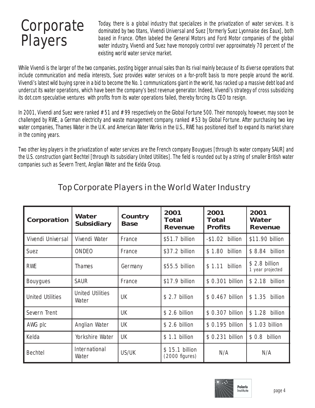## **Corporate** Players

Today, there is a global industry that specializes in the privatization of water services. It is dominated by two titans, Vivendi Universal and Suez [formerly Suez Lyonnaise des Eaux], both based in France. Often labeled the General Motors and Ford Motor companies of the global water industry, Vivendi and Suez have monopoly control over approximately 70 percent of the existing world water service market.

While Vivendi is the larger of the two companies, posting bigger annual sales than its rival mainly because of its diverse operations that include communication and media interests, Suez provides water services on a for-profit basis to more people around the world. Vivendi's latest wild buying spree in a bid to become the No. 1 communications giant in the world, has racked up a massive debt load and undercut its water operations, which have been the company's best revenue generator. Indeed, Vivendi's strategy of cross subsidizing its dot.com speculative ventures with profits from its water operations failed, thereby forcing its CEO to resign.

In 2001, Vivendi and Suez were ranked #51 and #99 respectively on the Global Fortune 500. Their monopoly, however, may soon be challenged by RWE, a German electricity and waste management company, ranked #53 by Global Fortune. After purchasing two key water companies, Thames Water in the U.K. and American Water Works in the U.S., RWE has positioned itself to expand its market share in the coming years.

Two other key players in the privatization of water services are the French company Bouygues [through its water company SAUR] and the U.S. construction giant Bechtel [through its subsidiary United Utilities]. The field is rounded out by a string of smaller British water companies such as Severn Trent, Anglian Water and the Kelda Group.

| Corporation             | Water<br><b>Subsidiary</b>       | Country<br><b>Base</b> | 2001<br>Total<br>Revenue           | 2001<br>Total<br><b>Profits</b> | 2001<br>Water<br>Revenue           |
|-------------------------|----------------------------------|------------------------|------------------------------------|---------------------------------|------------------------------------|
| Vivendi Universal       | Vivendi Water                    | France                 | \$51.7 billion                     | $-$1.02$ billion                | \$11.90 billion                    |
| <b>Suez</b>             | <b>ONDEO</b>                     | France                 | \$37.2 billion                     | \$1.80 billion                  | \$8.84 billion                     |
| <b>RWE</b>              | Thames                           | Germany                | \$55.5 billion                     | \$1.11 billion                  | $$2.8$ billion<br>1 year projected |
| <b>Bouygues</b>         | <b>SAUR</b>                      | France                 | \$17.9 billion                     | \$ 0.301 billion                | \$ 2.18 billion                    |
| <b>United Utilities</b> | <b>United Utilities</b><br>Water | <b>UK</b>              | $$2.7$ billion                     | \$ 0.467 billion                | \$1.35 billion                     |
| Severn Trent            |                                  | <b>UK</b>              | $$2.6$ billion                     | \$ 0.307 billion                | \$1.28<br>billion                  |
| AWG plc                 | Anglian Water                    | <b>UK</b>              | $$2.6$ billion                     | \$ 0.195 billion                | \$1.03 billion                     |
| Kelda                   | Yor kshire Water                 | UK                     | \$ 1.1 billion                     | \$ 0.231 billion                | \$0.8<br>billion                   |
| <b>Bechtel</b>          | <b>International</b><br>Water    | US/UK                  | \$15.1 billion<br>$(2000$ figures) | N/A                             | N/A                                |

#### Top Corporate Players in the World Water Industry

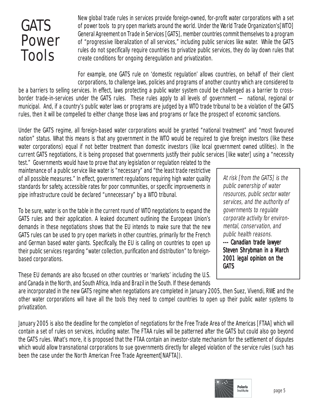## GATS Power Tools

New global trade rules in services provide foreign-owned, for-profit water corporations with a set of power tools to pry open markets around the world. Under the World Trade Organization's[WTO] General Agreement on Trade in Services [GATS], member countries commit themselves to a program of "progressive liberalization of all services," including public services like water. While the GATS rules do not specifically require countries to privatize public services, they do lay down rules that create conditions for ongoing deregulation and privatization.

For example, one GATS rule on 'domestic regulation' allows countries, on behalf of their client corporations, to challenge laws, policies and programs of another country which are considered to

be a barriers to selling services. In effect, laws protecting a public water system could be challenged as a barrier to crossborder trade-in-services under the GATS rules. These rules apply to all levels of government — national, regional or municipal. And, if a country's public water laws or programs are judged by a WTO trade tribunal to be a violation of the GATS rules, then it will be compelled to either change those laws and programs or face the prospect of economic sanctions.

Under the GATS regime, all foreign-based water corporations would be granted "national treatment" and "most favoured nation" status. What this means is that any government in the WTO would be required to give foreign investors (like these water corporations) equal if not better treatment than domestic investors (like local government owned utilities). In the current GATS negotiations, it is being proposed that governments justify their public services [like water] using a "necessity

test." Governments would have to prove that any legislation or regulation related to the maintenance of a public service like water is "necessary" and "the least trade restrictive of all possible measures." In effect, government regulations requiring high water quality standards for safety, accessible rates for poor communities, or specific improvements in pipe infrastructure could be declared "unnecessary" by a WTO tribunal.

To be sure, water is on the table in the current round of WTO negotiations to expand the GATS rules and their application. A leaked document outlining the European Union's demands in these negotiations shows that the EU intends to make sure that the new GATS rules can be used to pry open markets in other countries, primarily for the French and German based water giants. Specifically, the EU is calling on countries to open up their public services regarding "water collection, purification and distribution" to foreignbased corporations.

These EU demands are also focused on other countries or 'markets' including the U.S. and Canada in the North, and South Africa, India and Brazil in the South. If these demands

At risk [from the GATS] is the public ownership of water resources, public sector water services, and the authority of governments to regulate corporate activity for environmental, conservation, and public health reasons. --- Canadian trade lawyer

Steven Shrybman in a March 2001 legal opinion on the **GATS** 

are incorporated in the new GATS regime when negotiations are completed in January 2005, then Suez, Vivendi, RWE and the other water corporations will have all the tools they need to compel countries to open up their public water systems to privatization.

January 2005 is also the deadline for the completion of negotiations for the Free Trade Area of the Americas [FTAA] which will contain a set of rules on services, including water. The FTAA rules will be patterned after the GATS but could also go beyond the GATS rules. What's more, it is proposed that the FTAA contain an investor-state mechanism for the settlement of disputes which would allow transnational corporations to sue governments directly for alleged violation of the service rules (such has been the case under the North American Free Trade Agreement[NAFTA]).

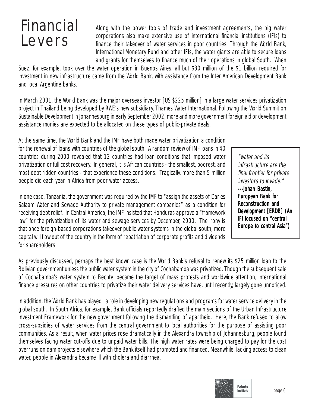## Financial Levers

Along with the power tools of trade and investment agreements, the big water corporations also make extensive use of international financial institutions (IFIs) to finance their takeover of water services in poor countries. Through the World Bank, International Monetary Fund and other IFIs, the water giants are able to secure loans and grants for themselves to finance much of their operations in global South. When

Suez, for example, took over the water operation in Buenos Aires, all but \$30 million of the \$1 billion required for investment in new infrastructure came from the World Bank, with assistance from the Inter American Development Bank and local Argentine banks.

In March 2001, the World Bank was the major overseas investor [US \$225 million] in a large water services privatization project in Thailand being developed by RWE's new subsidiary, Thames Water International. Following the World Summit on Sustainable Development in Johannesburg in early September 2002, more and more government foreign aid or development assistance monies are expected to be allocated on these types of public-private deals.

At the same time, the World Bank and the IMF have both made water privatization a condition for the renewal of loans with countries of the global south. A random review of IMF loans in 40 countries during 2000 revealed that 12 countries had loan conditions that imposed water privatization or full cost recovery. In general, it is African countries - the smallest, poorest, and most debt ridden countries - that experience these conditions. Tragically, more than 5 million people die each year in Africa from poor water access.

In one case, Tanzania, the government was required by the IMF to "assign the assets of Dar es Salaam Water and Sewage Authority to private management companies" as a condition for receiving debt relief. In Central America, the IMF insisted that Honduras approve a "framework law" for the privatization of its water and sewage services by December, 2000. The irony is that once foreign-based corporations takeover public water systems in the global south, more capital will flow out of the country in the form of repatriation of corporate profits and dividends for shareholders.

"water and its infrastructure are the final frontier for private investors to invade." ---Johan Bastin, European Bank for Reconstruction and Development [ERDB] (An IFI focused on "central Europe to central Asia")

As previously discussed, perhaps the best known case is the World Bank's refusal to renew its \$25 million loan to the Bolivian government unless the public water system in the city of Cochabamba was privatized. Though the subsequent sale of Cochabamba's water system to Bechtel became the target of mass protests and worldwide attention, international finance pressures on other countries to privatize their water delivery services have, until recently, largely gone unnoticed.

In addition, the World Bank has played a role in developing new regulations and programs for water service delivery in the global south. In South Africa, for example, Bank officials reportedly drafted the main sections of the Urban Infrastructure Investment Framework for the new government following the dismantling of apartheid. Here, the Bank refused to allow cross-subsidies of water services from the central government to local authorities for the purpose of assisting poor communities. As a result, when water prices rose dramatically in the Alexandra township of Johannesburg, people found themselves facing water cut-offs due to unpaid water bills. The high water rates were being charged to pay for the cost overruns on dam projects elsewhere which the Bank itself had promoted and financed. Meanwhile, lacking access to clean water, people in Alexandra became ill with cholera and diarrhea.

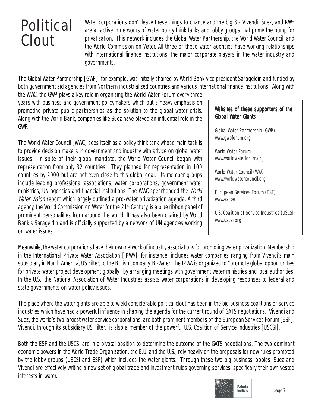## Political Clout

Water corporations don't leave these things to chance and the big 3 - Vivendi, Suez, and RWE are all active in networks of water policy think tanks and lobby groups that prime the pump for privatization. This network includes the Global Water Partnership, the World Water Council and the World Commission on Water. All three of these water agencies have working relationships with international finance institutions, the major corporate players in the water industry and governments.

The Global Water Partnership [GWP], for example, was initially chaired by World Bank vice president Sarageldin and funded by both government aid agencies from Northern industrialized countries and various international finance institutions. Along with

the WWC, the GWP plays a key role in organizing the World Water Forum every three years with business and government policymakers which put a heavy emphasis on promoting private public partnerships as the solution to the global water crisis. Along with the World Bank, companies like Suez have played an influential role in the GWP.

The World Water Council [WWC] sees itself as a policy think tank whose main task is to provide decision makers in government and industry with advice on global water issues. In spite of their global mandate, the World Water Council began with representation from only 32 countries. They planned for representation in 100 countries by 2000 but are not even close to this global goal. Its member groups include leading professional associations, water corporations, government water ministries, UN agencies and financial institutions. The WWC spearheaded the World Water Vision report which largely outlined a pro-water privatization agenda. A third agency, the World Commission on Water for the 21<sup>st</sup> Century, is a blue ribbon panel of prominent personalities from around the world. It has also been chaired by World Bank's Sarageldin and is officially supported by a network of UN agencies working on water issues.

#### Websites of these supporters of the Global Water Giants

Global Water Partnership (GWP) www.gwpforum.org

World Water Forum www.worldwaterforum.org

World Water Council (WWC) www.worldwatercouncil.org

European Services Forum (ESF) www.esf.be

U.S. Coalition of Service Industries (USCSI) www.uscsi.org

Meanwhile, the water corporations have their own network of industry associations for promoting water privatization. Membership in the International Private Water Association [IPWA], for instance, includes water companies ranging from Vivendi's main subsidiary in North America, US Filter, to the British company, Bi-Water. The IPWA is organized to "promote global opportunities for private water project development globally" by arranging meetings with government water ministries and local authorities. In the U.S., the National Association of Water Industries assists water corporations in developing responses to federal and state governments on water policy issues.

The place where the water giants are able to wield considerable political clout has been in the big business coalitions of service industries which have had a powerful influence in shaping the agenda for the current round of GATS negotiations. Vivendi and Suez, the world's two largest water service corporations, are both prominent members of the European Services Forum [ESF]. Vivendi, through its subsidiary US Filter, is also a member of the powerful U.S. Coalition of Service Industries [USCSI].

Both the ESF and the USCSI are in a pivotal position to determine the outcome of the GATS negotiations. The two dominant economic powers in the World Trade Organization, the E.U. and the U.S., rely heavily on the proposals for new rules promoted by the lobby groups (USCSI and ESF) which includes the water giants. Through these two big business lobbies, Suez and Vivendi are effectively writing a new set of global trade and investment rules governing services, specifically their own vested interests in water.

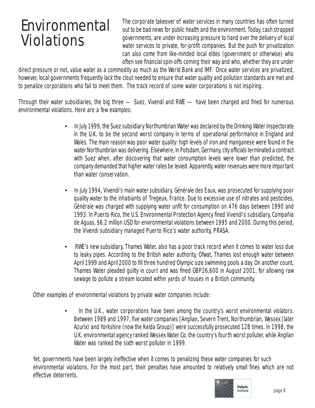## Environmental Violations

The corporate takeover of water services in many countries has often turned out to be bad news for public health and the environment. Today, cash strapped governments, are under increasing pressure to hand over the delivery of local water services to private, for-profit companies. But the push for privatization can also come from like-minded local elites (government or otherwise) who often see financial spin-offs coming their way and who, whether they are under

direct pressure or not, value water as a commodity as much as the World Bank and IMF. Once water services are privatized, however, local governments frequently lack the clout needed to ensure that water quality and pollution standards are met and to penalize corporations who fail to meet them. The track record of some water corporations is not inspiring.

Through their water subsidiaries, the big three — Suez, Vivendi and RWE — have been charged and fined for numerous environmental violations. Here are a few examples:

- In July 1999, the Suez subsidiary Northumbrian Water was declared by the Drinking Water Inspectorate in the U.K. to be the second worst company in terms of operational performance in England and Wales. The main reason was poor water quality: high levels of iron and manganese were found in the water Northumbrian was delivering. Elsewhere, in Potsdam, Germany, city officials terminated a contract with Suez when, after discovering that water consumption levels were lower than predicted, the company demanded that higher water rates be levied. Apparently, water revenues were more important than water conservation.
- In July 1994, Vivendi's main water subsidiary, Générale des Eaux, was prosecuted for supplying poor quality water to the inhabiants of Tregeux, France. Due to excessive use of nitrates and pesticides, Générale was charged with supplying water unfit for consumption on 476 days between 1990 and 1993. In Puerto Rico, the U.S. Environmental Protection Agency fined Vivendi's subsidiary, Compañía de Aguas, \$6.2 million USD for environmental violations between 1995 and 2000. During this period, the Vivendi subsidiary managed Puerto Rico's water authority, PRASA.
- RWE's new subsidiary, Thames Water, also has a poor track record when it comes to water loss due to leaky pipes. According to the British water authority, Ofwat, Thames lost enough water between April 1999 and April 2000 to fill three hundred Olympic size swimming pools a day. On another count, Thames Water pleaded guilty in court and was fined GBP26,600 in August 2001, for allowing raw sewage to pollute a stream located within yards of houses in a British community.

Other examples of environmental violations by private water companies include:

• In the U.K., water corporations have been among the country's worst environmental violators. Between 1989 and 1997, five water companies [Anglian, Severn Trent, Northumbrian, Wessex (later Azurix) and Yorkshire (now the Kelda Group)] were successfully prosecuted 128 times. In 1998, the U.K. environmental agency ranked Wessex Water Co. the country's fourth worst polluter, while Anglian Water was ranked the sixth worst polluter in 1999.

Yet, governments have been largely ineffective when it comes to penalizing these water companies for such environmental violations. For the most part, their penalties have amounted to relatively small fines which are not effective deterrents.

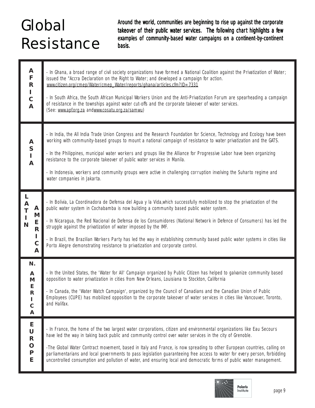## Global Resistance

Around the world, communities are beginning to rise up against the corporate takeover of their public water services. The following chart highlights a few examples of community-based water campaigns on a continent-by-continent basis.

| A<br>F<br>$\mathsf{R}$<br>L<br>$\mathsf C$<br>$\overline{\mathsf{A}}$                                                        | - In Ghana, a broad range of civil society organizations have formed a National Coalition against the Privatization of Water;<br>issued the "Accra Declaration on the Right to Water; and developed a campaign for action.<br>www.citizen.org/cmep/Water/cmep_Water/reports/ghana/articles.cfm?ID=7331<br>- In South Africa, the South African Municipal Workers Union and the Anti-Privatization Forum are spearheading a campaign<br>of resistance in the townships against water cut-offs and the corporate takeover of water services.<br>(See: www.apf.org.za andwww.cosatu.org.za/samwu)                                       |
|------------------------------------------------------------------------------------------------------------------------------|--------------------------------------------------------------------------------------------------------------------------------------------------------------------------------------------------------------------------------------------------------------------------------------------------------------------------------------------------------------------------------------------------------------------------------------------------------------------------------------------------------------------------------------------------------------------------------------------------------------------------------------|
| A<br>S<br>I<br>A                                                                                                             | - In India, the All India Trade Union Congress and the Research Foundation for Science, Technology and Ecology have been<br>working with community-based groups to mount a national campaign of resistance to water privatization and the GATS.<br>- In the Philippines, municipal water workers and groups like the Alliance for Progressive Labor have been organizing<br>resistance to the corporate takeover of public water services in Manila.<br>- In Indonesia, workers and community groups were active in challenging corruption involving the Suharto regime and<br>water companies in Jakarta.                           |
| L<br>$\boldsymbol{\mathsf{A}}$<br>A<br>T<br>M<br>$\mathbf{I}$<br>E<br>N<br>$\overline{\mathsf{R}}$<br>L<br>$\mathsf{C}$<br>A | - In Bolivia, La Coordinadora de Defensa del Agua y la Vida, which successfully mobilized to stop the privatization of the<br>public water system in Cochabamba is now building a community based public water system.<br>- In Nicaragua, the Red Nacional de Defensa de los Consumidores (National Network in Defence of Consumers) has led the<br>struggle against the privatization of water imposed by the IMF.<br>- In Brazil, the Brazilian Workers Party has led the way in establishing community based public water systems in cities like<br>Porto Alegre demonstrating resistance to privatization and corporate control. |
| N.<br>A<br>M<br>E<br>$\mathsf{R}$<br>L<br>$\mathsf{C}$<br>A                                                                  | - In the United States, the 'Water for All' Campaign organized by Public Citizen has helped to galvanize community based<br>opposition to water privatization in cities from New Orleans, Louisiana to Stockton, California<br>- In Canada, the 'Water Watch Campaign', organized by the Council of Canadians and the Canadian Union of Public<br>Employees (CUPE) has mobilized opposition to the corporate takeover of water services in cities like Vancouver, Toronto,<br>and Halifax.                                                                                                                                           |
| Е<br>U<br>${\sf R}$<br>$\mathbf O$<br>${\sf P}$<br>E                                                                         | - In France, the home of the two largest water corporations, citizen and environmental organizations like Eau Secours<br>have led the way in taking back public and community control over water services in the city of Grenoble.<br>-The Global Water Contract movement, based in Italy and France, is now spreading to other European countries, calling on<br>parliamentarians and local governments to pass legislation guaranteeing free access to water for every person, forbidding<br>uncontrolled consumption and pollution of water, and ensuring local and democratic forms of public water management.                  |

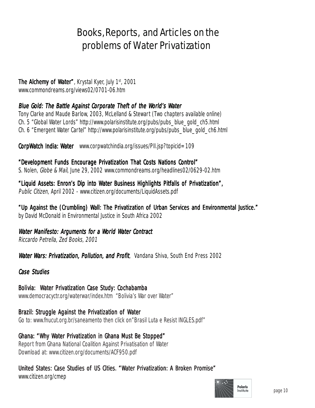### Books, Reports, and Articles on the problems of Water Privatization

#### **The Alchemy of Water", Krystal Kyer, July 1st, 2001**

www.commondreams.org/views02/0701-06.htm

#### Blue Gold: The Battle Against Corporate Theft of the World's Water

Tony Clarke and Maude Barlow, 2003, McLelland & Stewart (Two chapters available online) Ch. 5 "Global Water Lords" http://www.polarisinstitute.org/pubs/pubs\_blue\_gold\_ch5.html Ch. 6 "Emergent Water Cartel" http://www.polarisinstitute.org/pubs/pubs\_blue\_gold\_ch6.html

**CorpWatch India: Water** www.corpwatchindia.org/issues/PII.jsp?topicid=109

"Development Funds Encourage Privatization That Costs Nations Control" S. Nolen, Globe & Mail, June 29, 2002 www.commondreams.org/headlines02/0629-02.htm

"Liquid Assets: Enron's Dip into Water Business Highlights Pitfalls of Privatization", Public Citizen, April 2002 - www.citizen.org/documents/LiquidAssets.pdf

"Up Against the (Crumbling) Wall: The Privatization of Urban Services and Environmental Justice." by David McDonald in Environmental Justice in South Africa 2002

Water Manifesto: Arguments for a World Water Contract

Riccardo Petrella, Zed Books, 2001

Water Wars: Privatization, Pollution, and Profit, Vandana Shiva, South End Press 2002

#### Case Studies

Bolivia: Water Privatization Case Study: Cochabamba www.democracyctr.org/waterwar/index.htm "Bolivia's War over Water"

Brazil: Struggle Against the Privatization of Water Go to: www.fnucut.org.br/saneamento then click on"Brasil Luta e Resist INGLES.pdf"

Ghana: "Why Water Privatization in Ghana Must Be Stopped" Report from Ghana National Coalition Against Privatisation of Water Download at: www.citizen.org/documents/ACF950.pdf

United States: Case Studies of US Cities. "Water Privatization: A Broken Promise" www.citizen.org/cmep

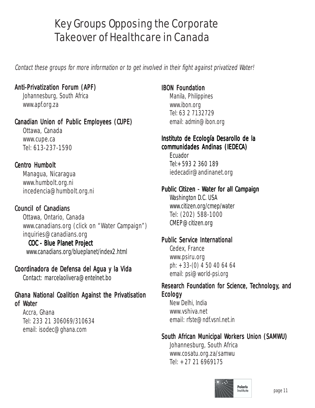## Key Groups Opposing the Corporate Takeover of Healthcare in Canada

Contact these groups for more information or to get involved in their fight against privatized Water!

#### Anti-Privatization Forum (APF)

Johannesburg, South Africa www.apf.org.za

#### Canadian Union of Public Employees (CUPE)

Ottawa, Canada www.cupe.ca Tel: 613-237-1590

#### **Centro Humbolt**

Managua, Nicaragua www.humbolt.org.ni incedencia@humbolt.org.ni

#### **Council of Canadians**

Ottawa, Ontario, Canada www.canadians.org (click on "Water Campaign") inquiries@canadians.org

#### COC - Blue Planet Project

www.canadians.org/blueplanet/index2.html

#### Coordinadora de Defensa del Agua y la Vida

Contact: marcelaolivera@entelnet.bo

#### Ghana National Coalition Against the Privatisation of Water

Accra, Ghana Tel: 233 21 306069/310634 email: isodec@ghana.com

#### IBON Foundation

Manila, Philippines www.ibon.org Tel: 63 2 7132729 email: admin@ibon.org

#### Instituto de Ecología Desarollo de la communidades Andinas (IEDECA) (IEDECA)

Ecuador Tel:+593 2 360 189 iedecadir@andinanet.org

#### Public Citizen - Water for all Campaign

Washington D.C. USA www.citizen.org/cmep/water Tel: (202) 588-1000 CMEP@citizen.org

#### Public Service International

Cedex, France www.psiru.org ph: +33-(0) 4 50 40 64 64 email: psi@world-psi.org

#### Research Foundation for Science, Technology, and Ecology

New Delhi, India www.vshiva.net email: rfste@ndf.vsnl.net.in

#### South African Municipal Workers Union (SAMWU)

Johannesburg, South Africa www.cosatu.org.za/samwu Tel: +27 21 6969175